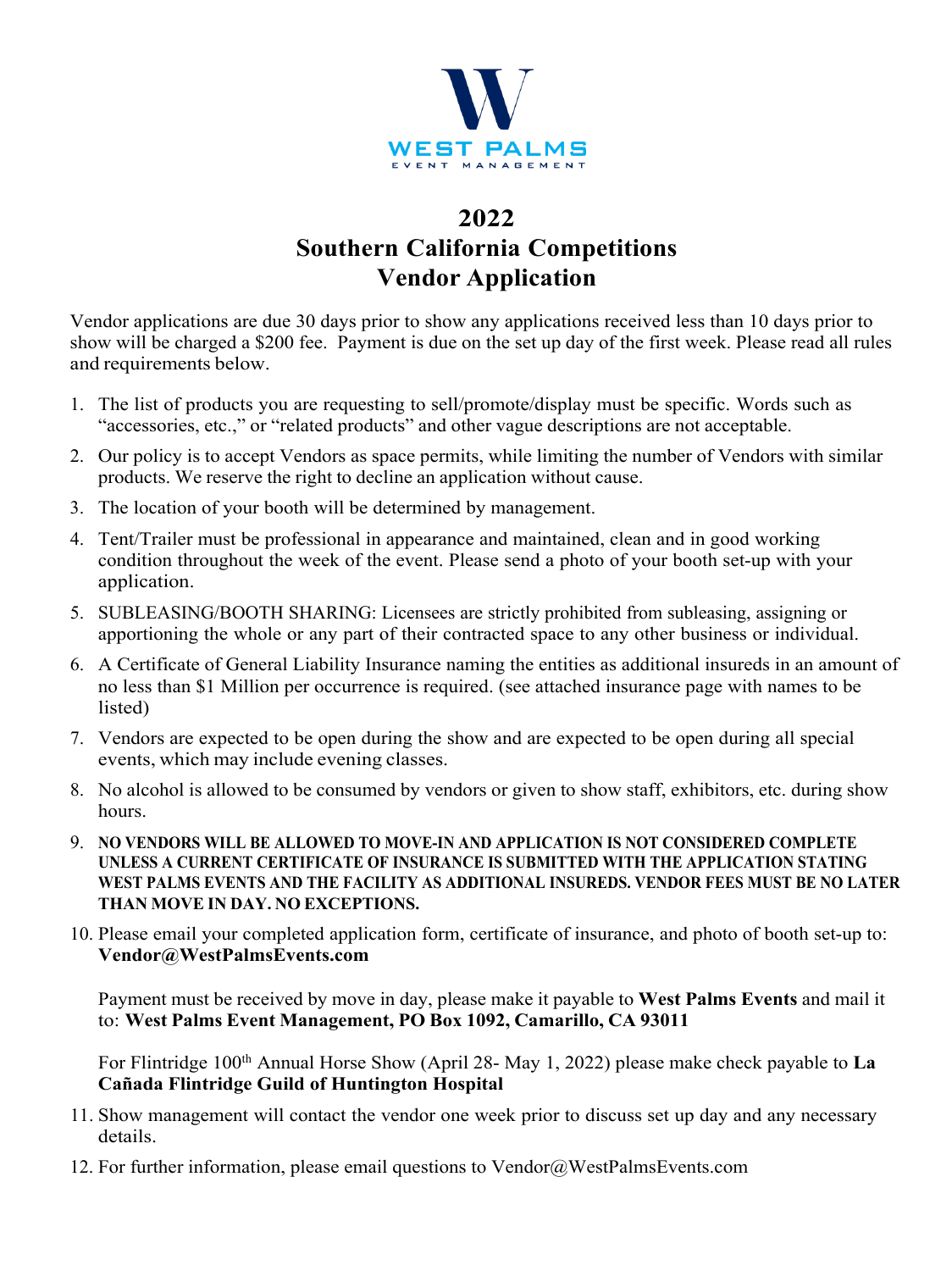

# **2022 Southern California Competitions Vendor Application**

Vendor applications are due 30 days prior to show any applications received less than 10 days prior to show will be charged a \$200 fee. Payment is due on the set up day of the first week. Please read all rules and requirements below.

- 1. The list of products you are requesting to sell/promote/display must be specific. Words such as "accessories, etc.," or "related products" and other vague descriptions are not acceptable.
- 2. Our policy is to accept Vendors as space permits, while limiting the number of Vendors with similar products. We reserve the right to decline an application without cause.
- 3. The location of your booth will be determined by management.
- 4. Tent/Trailer must be professional in appearance and maintained, clean and in good working condition throughout the week of the event. Please send a photo of your booth set-up with your application.
- 5. SUBLEASING/BOOTH SHARING: Licensees are strictly prohibited from subleasing, assigning or apportioning the whole or any part of their contracted space to any other business or individual.
- 6. A Certificate of General Liability Insurance naming the entities as additional insureds in an amount of no less than \$1 Million per occurrence is required. (see attached insurance page with names to be listed)
- 7. Vendors are expected to be open during the show and are expected to be open during all special events, which may include evening classes.
- 8. No alcohol is allowed to be consumed by vendors or given to show staff, exhibitors, etc. during show hours.
- 9. **NO VENDORS WILL BE ALLOWED TO MOVE-IN AND APPLICATION IS NOT CONSIDERED COMPLETE UNLESS A CURRENT CERTIFICATE OF INSURANCE IS SUBMITTED WITH THE APPLICATION STATING WEST PALMS EVENTS AND THE FACILITY AS ADDITIONAL INSUREDS. VENDOR FEES MUST BE NO LATER THAN MOVE IN DAY. NO EXCEPTIONS.**
- 10. Please email your completed application form, certificate of insurance, and photo of booth set-up to: **Vendor@WestPalmsEvents.com**

Payment must be received by move in day, please make it payable to **West Palms Events** and mail it to: **West Palms Event Management, PO Box 1092, Camarillo, CA 93011**

For Flintridge 100<sup>th</sup> Annual Horse Show (April 28- May 1, 2022) please make check payable to La **Cañada Flintridge Guild of Huntington Hospital**

- 11. Show management will contact the vendor one week prior to discuss set up day and any necessary details.
- 12. For further information, please email questions to Vendor@WestPalmsEvents.com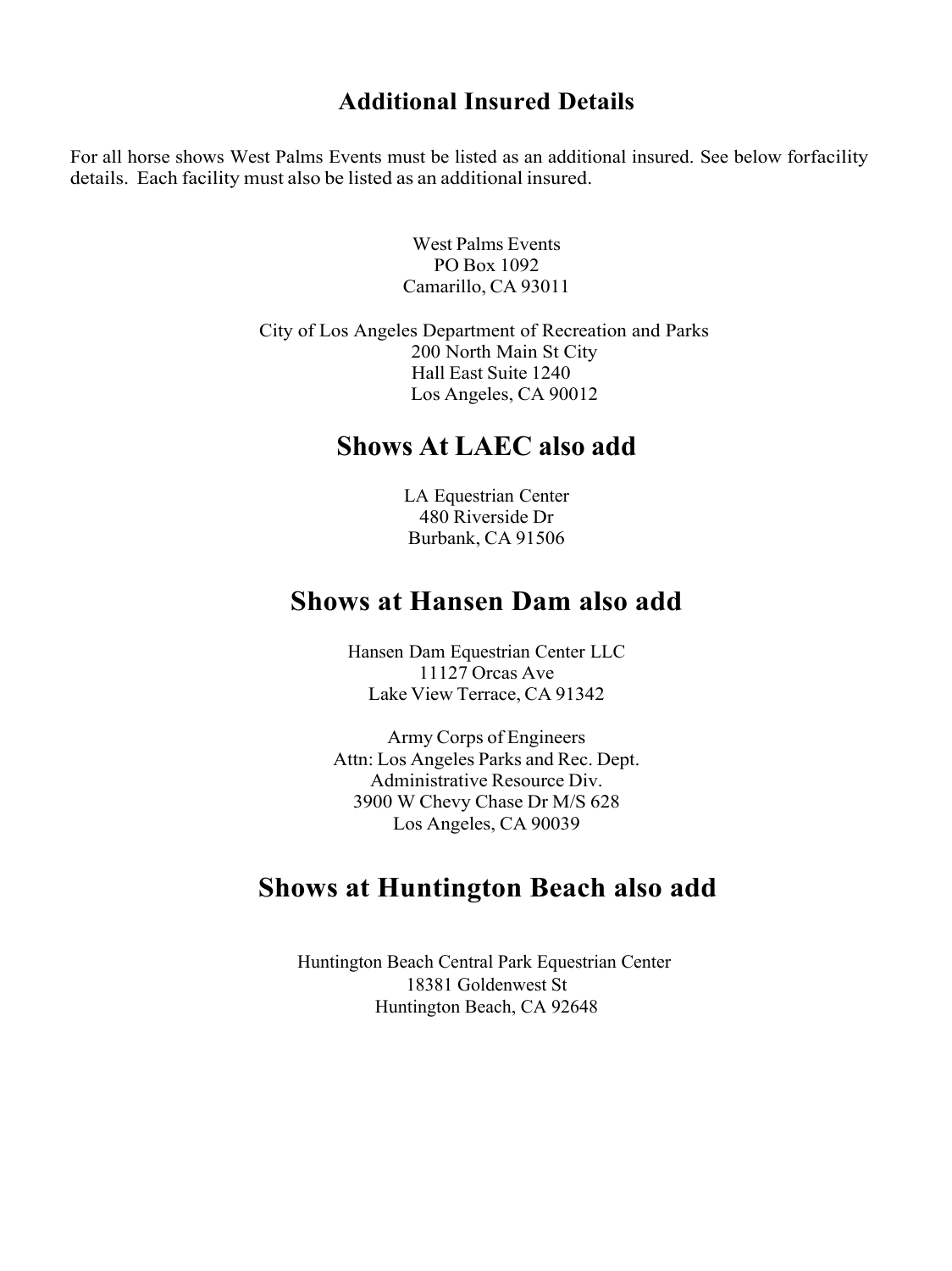#### **Additional Insured Details**

For all horse shows West Palms Events must be listed as an additional insured. See below forfacility details. Each facility must also be listed as an additional insured.

> West Palms Events PO Box 1092 Camarillo, CA 93011

City of Los Angeles Department of Recreation and Parks 200 North Main St City Hall East Suite 1240 Los Angeles, CA 90012

## **Shows At LAEC also add**

LA Equestrian Center 480 Riverside Dr Burbank, CA 91506

### **Shows at Hansen Dam also add**

Hansen Dam Equestrian Center LLC 11127 Orcas Ave Lake View Terrace, CA 91342

Army Corps of Engineers Attn: Los Angeles Parks and Rec. Dept. Administrative Resource Div. 3900 W Chevy Chase Dr M/S 628 Los Angeles, CA 90039

## **Shows at Huntington Beach also add**

Huntington Beach Central Park Equestrian Center 18381 Goldenwest St Huntington Beach, CA 92648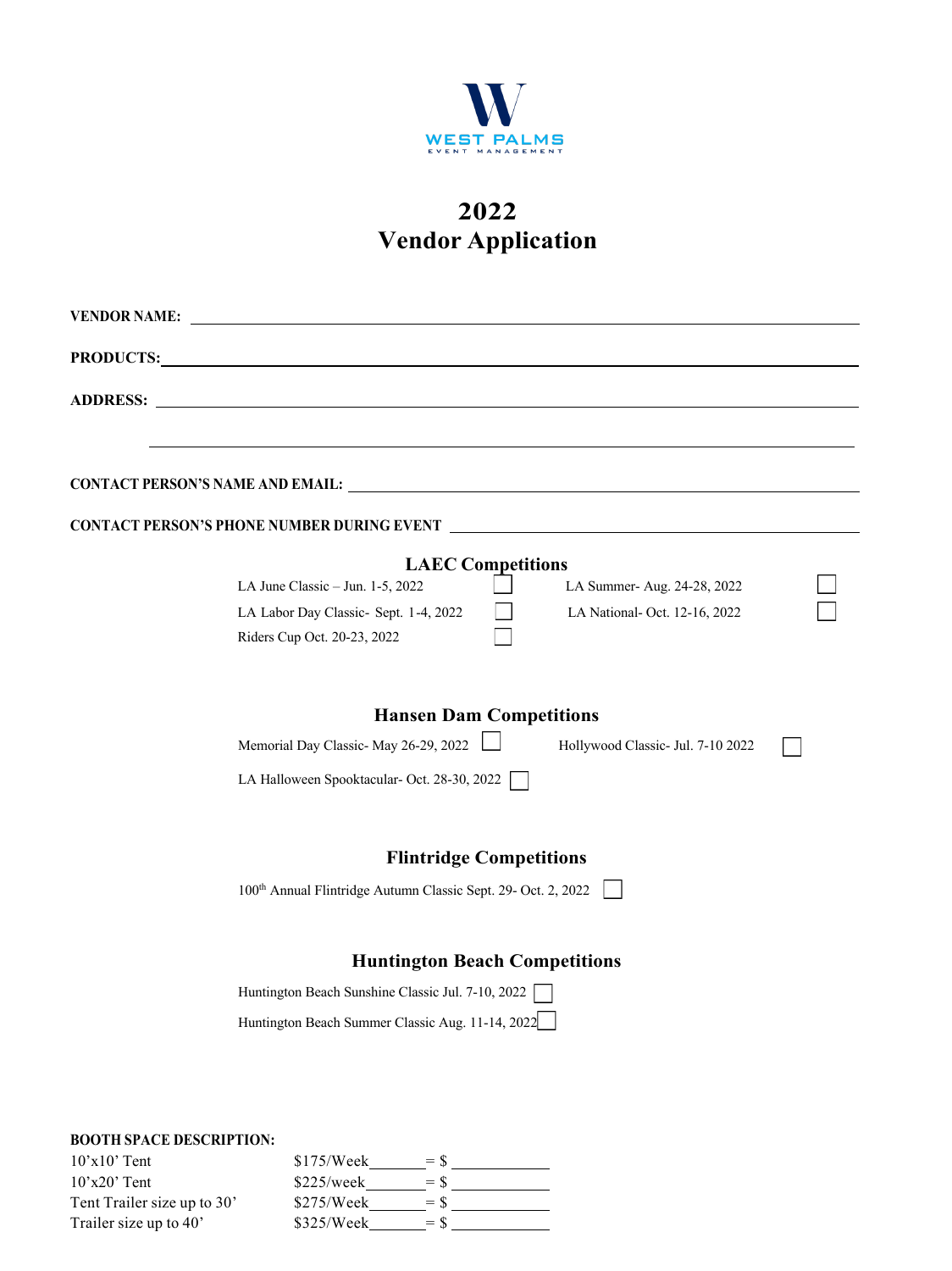

# **2022 Vendor Application**

| <b>VENDOR NAME:</b> |                                                                                                                                                                                                                                |
|---------------------|--------------------------------------------------------------------------------------------------------------------------------------------------------------------------------------------------------------------------------|
|                     | PRODUCTS: Note and the set of the set of the set of the set of the set of the set of the set of the set of the set of the set of the set of the set of the set of the set of the set of the set of the set of the set of the s |
| <b>ADDRESS:</b>     |                                                                                                                                                                                                                                |
|                     |                                                                                                                                                                                                                                |
|                     |                                                                                                                                                                                                                                |
|                     | <b>CONTACT PERSON'S PHONE NUMBER DURING EVENT _</b>                                                                                                                                                                            |
|                     | <b>LAEC Competitions</b>                                                                                                                                                                                                       |
|                     | LA June Classic - Jun. 1-5, 2022<br>LA Summer-Aug. 24-28, 2022                                                                                                                                                                 |
|                     | LA Labor Day Classic- Sept. 1-4, 2022<br>LA National- Oct. 12-16, 2022                                                                                                                                                         |
|                     | Riders Cup Oct. 20-23, 2022                                                                                                                                                                                                    |
|                     | <b>Hansen Dam Competitions</b>                                                                                                                                                                                                 |
|                     | Memorial Day Classic- May 26-29, 2022<br>Hollywood Classic- Jul. 7-10 2022                                                                                                                                                     |
|                     | LA Halloween Spooktacular- Oct. 28-30, 2022                                                                                                                                                                                    |
|                     | <b>Flintridge Competitions</b>                                                                                                                                                                                                 |
|                     | 100th Annual Flintridge Autumn Classic Sept. 29- Oct. 2, 2022                                                                                                                                                                  |
|                     | <b>Huntington Beach Competitions</b>                                                                                                                                                                                           |
|                     | Huntington Beach Sunshine Classic Jul. 7-10, 2022                                                                                                                                                                              |
|                     | Huntington Beach Summer Classic Aug. 11-14, 2022                                                                                                                                                                               |
|                     |                                                                                                                                                                                                                                |
|                     |                                                                                                                                                                                                                                |
|                     |                                                                                                                                                                                                                                |

#### **BOOTH SPACE DESCRIPTION:**

| $10'x10'$ Tent               | \$175/Week | $=$ S |  |
|------------------------------|------------|-------|--|
| $10^{\circ}x20^{\circ}$ Tent | \$225/week | $=$ S |  |
| Tent Trailer size up to 30'  | \$275/Week | $=$ S |  |
| Trailer size up to 40'       | \$325/Week | $=$ S |  |